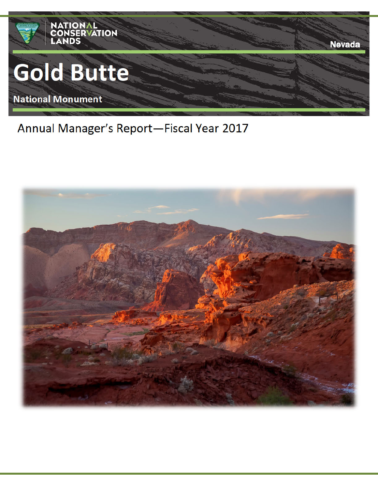

Annual Manager's Report-Fiscal Year 2017

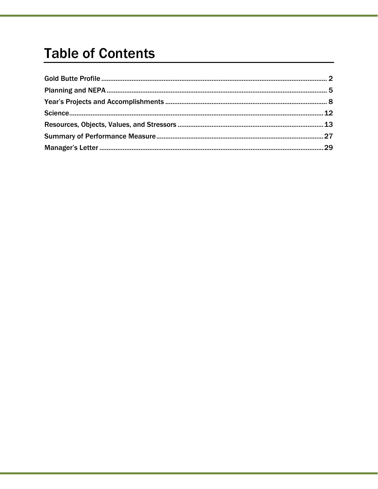# **Table of Contents**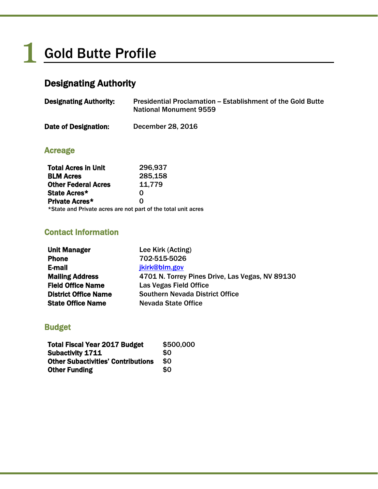# Gold Butte Profile

# Designating Authority

| <b>Designating Authority:</b> | Presidential Proclamation – Establishment of the Gold Butte<br><b>National Monument 9559</b> |
|-------------------------------|----------------------------------------------------------------------------------------------|
| Date of Designation:          | December 28, 2016                                                                            |

# Acreage

1

| <b>Total Acres in Unit</b> | 296,937                                                       |
|----------------------------|---------------------------------------------------------------|
| <b>BLM Acres</b>           | 285,158                                                       |
| <b>Other Federal Acres</b> | 11,779                                                        |
| State Acres*               | O                                                             |
| <b>Private Acres*</b>      | O                                                             |
|                            | *State and Private acres are not part of the total unit acres |

# Contact Information

| <b>Unit Manager</b>         | Lee Kirk (Acting)                               |
|-----------------------------|-------------------------------------------------|
| <b>Phone</b>                | 702-515-5026                                    |
| E-mail                      | jkirk@blm.gov                                   |
| <b>Mailing Address</b>      | 4701 N. Torrey Pines Drive, Las Vegas, NV 89130 |
| <b>Field Office Name</b>    | Las Vegas Field Office                          |
| <b>District Office Name</b> | <b>Southern Nevada District Office</b>          |
| <b>State Office Name</b>    | Nevada State Office                             |

# Budget

| <b>Total Fiscal Year 2017 Budget</b>      | \$500,000 |
|-------------------------------------------|-----------|
| <b>Subactivity 1711</b>                   | \$0       |
| <b>Other Subactivities' Contributions</b> | \$0       |
| <b>Other Funding</b>                      | \$0       |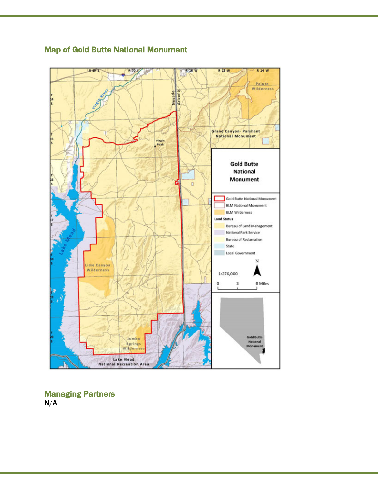

# Map of Gold Butte National Monument

Managing Partners N/A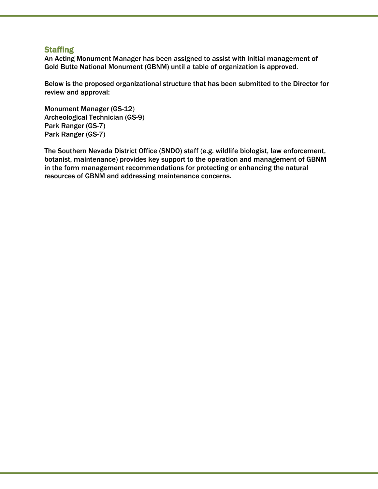# **Staffing**

An Acting Monument Manager has been assigned to assist with initial management of Gold Butte National Monument (GBNM) until a table of organization is approved.

Below is the proposed organizational structure that has been submitted to the Director for review and approval:

Monument Manager (GS-12) Archeological Technician (GS-9) Park Ranger (GS-7) Park Ranger (GS-7)

The Southern Nevada District Office (SNDO) staff (e.g. wildlife biologist, law enforcement, botanist, maintenance) provides key support to the operation and management of GBNM in the form management recommendations for protecting or enhancing the natural resources of GBNM and addressing maintenance concerns.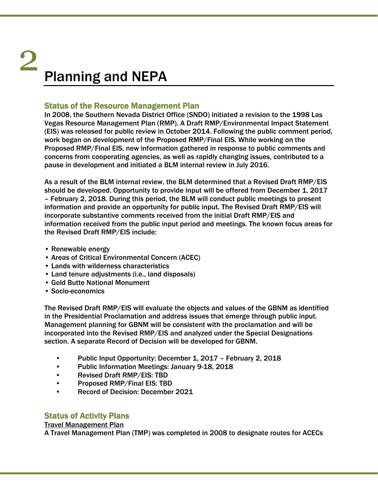# Planning and NEPA 2

# Status of the Resource Management Plan

In 2008, the Southern Nevada District Office (SNDO) initiated a revision to the 1998 Las Vegas Resource Management Plan (RMP). A Draft RMP/Environmental Impact Statement (EIS) was released for public review in October 2014. Following the public comment period, work began on development of the Proposed RMP/Final EIS. While working on the Proposed RMP/Final EIS, new information gathered in response to public comments and concerns from cooperating agencies, as well as rapidly changing issues, contributed to a pause in development and initiated a BLM internal review in July 2016.

As a result of the BLM internal review, the BLM determined that a Revised Draft RMP/EIS should be developed. Opportunity to provide input will be offered from December 1, 2017 – February 2, 2018. During this period, the BLM will conduct public meetings to present information and provide an opportunity for public input. The Revised Draft RMP/EIS will incorporate substantive comments received from the initial Draft RMP/EIS and information received from the public input period and meetings. The known focus areas for the Revised Draft RMP/EIS include:

- Renewable energy
- Areas of Critical Environmental Concern (ACEC)
- Lands with wilderness characteristics
- Land tenure adjustments (i.e., land disposals)
- Gold Butte National Monument
- Socio-economics

The Revised Draft RMP/EIS will evaluate the objects and values of the GBNM as identified in the Presidential Proclamation and address issues that emerge through public input. Management planning for GBNM will be consistent with the proclamation and will be incorporated into the Revised RMP/EIS and analyzed under the Special Designations section. A separate Record of Decision will be developed for GBNM.

- Public Input Opportunity: December 1, 2017 February 2, 2018
- Public Information Meetings: January 9-18, 2018
- Revised Draft RMP/EIS: TBD
- Proposed RMP/Final EIS: TBD
- Record of Decision: December 2021

# Status of Activity Plans

# Travel Management Plan

A Travel Management Plan (TMP) was completed in 2008 to designate routes for ACECs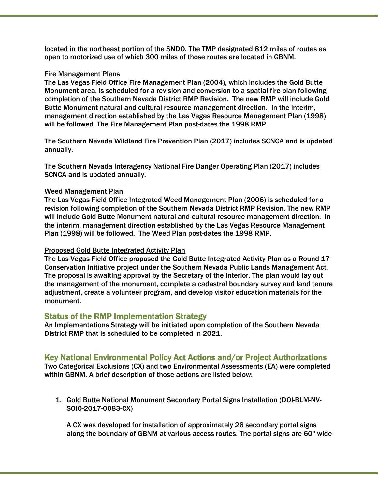located in the northeast portion of the SNDO. The TMP designated 812 miles of routes as open to motorized use of which 300 miles of those routes are located in GBNM.

#### Fire Management Plans

The Las Vegas Field Office Fire Management Plan (2004), which includes the Gold Butte Monument area, is scheduled for a revision and conversion to a spatial fire plan following completion of the Southern Nevada District RMP Revision. The new RMP will include Gold Butte Monument natural and cultural resource management direction. In the interim, management direction established by the Las Vegas Resource Management Plan (1998) will be followed. The Fire Management Plan post-dates the 1998 RMP.

The Southern Nevada Wildland Fire Prevention Plan (2017) includes SCNCA and is updated annually.

The Southern Nevada Interagency National Fire Danger Operating Plan (2017) includes SCNCA and is updated annually.

### Weed Management Plan

The Las Vegas Field Office Integrated Weed Management Plan (2006) is scheduled for a revision following completion of the Southern Nevada District RMP Revision. The new RMP will include Gold Butte Monument natural and cultural resource management direction. In the interim, management direction established by the Las Vegas Resource Management Plan (1998) will be followed. The Weed Plan post-dates the 1998 RMP.

#### Proposed Gold Butte Integrated Activity Plan

The Las Vegas Field Office proposed the Gold Butte Integrated Activity Plan as a Round 17 Conservation Initiative project under the Southern Nevada Public Lands Management Act. The proposal is awaiting approval by the Secretary of the Interior. The plan would lay out the management of the monument, complete a cadastral boundary survey and land tenure adjustment, create a volunteer program, and develop visitor education materials for the monument.

# Status of the RMP Implementation Strategy

An Implementations Strategy will be initiated upon completion of the Southern Nevada District RMP that is scheduled to be completed in 2021.

# Key National Environmental Policy Act Actions and/or Project Authorizations

Two Categorical Exclusions (CX) and two Environmental Assessments (EA) were completed within GBNM. A brief description of those actions are listed below:

1. Gold Butte National Monument Secondary Portal Signs Installation (DOI-BLM-NV-SOI0-2017-0083-CX)

A CX was developed for installation of approximately 26 secondary portal signs along the boundary of GBNM at various access routes. The portal signs are 60" wide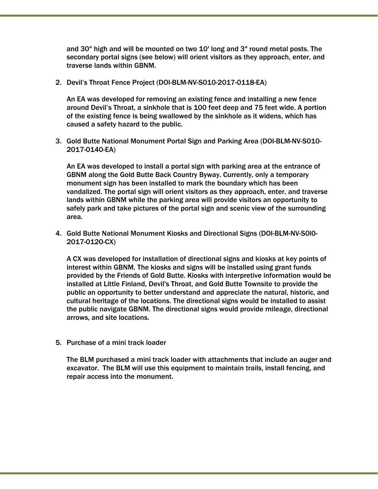and 30" high and will be mounted on two 10' long and 3" round metal posts. The secondary portal signs (see below) will orient visitors as they approach, enter, and traverse lands within GBNM.

2. Devil's Throat Fence Project (DOI-BLM-NV-S010-2017-0118-EA)

An EA was developed for removing an existing fence and installing a new fence around Devil's Throat, a sinkhole that is 100 feet deep and 75 feet wide. A portion of the existing fence is being swallowed by the sinkhole as it widens, which has caused a safety hazard to the public.

3. Gold Butte National Monument Portal Sign and Parking Area (DOI-BLM-NV-S010- 2017-0140-EA)

An EA was developed to install a portal sign with parking area at the entrance of GBNM along the Gold Butte Back Country Byway. Currently, only a temporary monument sign has been installed to mark the boundary which has been vandalized. The portal sign will orient visitors as they approach, enter, and traverse lands within GBNM while the parking area will provide visitors an opportunity to safely park and take pictures of the portal sign and scenic view of the surrounding area.

4. Gold Butte National Monument Kiosks and Directional Signs (DOI-BLM-NV-S0l0- 2017-0120-CX)

A CX was developed for installation of directional signs and kiosks at key points of interest within GBNM. The kiosks and signs will be installed using grant funds provided by the Friends of Gold Butte. Kiosks with interpretive information would be installed at Little Finland, Devil's Throat, and Gold Butte Townsite to provide the public an opportunity to better understand and appreciate the natural, historic, and cultural heritage of the locations. The directional signs would be installed to assist the public navigate GBNM. The directional signs would provide mileage, directional arrows, and site locations.

5. Purchase of a mini track loader

The BLM purchased a mini track loader with attachments that include an auger and excavator. The BLM will use this equipment to maintain trails, install fencing, and repair access into the monument.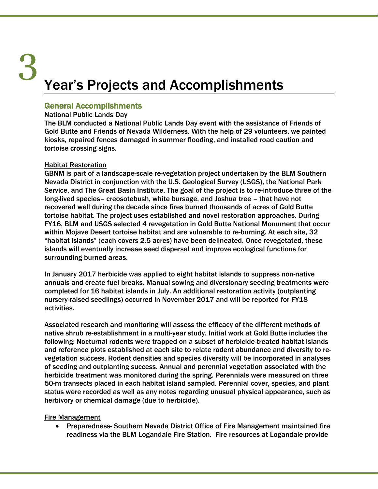# Year's Projects and Accomplishments 3

# General Accomplishments

### National Public Lands Day

The BLM conducted a National Public Lands Day event with the assistance of Friends of Gold Butte and Friends of Nevada Wilderness. With the help of 29 volunteers, we painted kiosks, repaired fences damaged in summer flooding, and installed road caution and tortoise crossing signs.

### Habitat Restoration

GBNM is part of a landscape-scale re-vegetation project undertaken by the BLM Southern Nevada District in conjunction with the U.S. Geological Survey (USGS), the National Park Service, and The Great Basin Institute. The goal of the project is to re-introduce three of the long-lived species– creosotebush, white bursage, and Joshua tree – that have not recovered well during the decade since fires burned thousands of acres of Gold Butte tortoise habitat. The project uses established and novel restoration approaches. During FY16, BLM and USGS selected 4 revegetation in Gold Butte National Monument that occur within Mojave Desert tortoise habitat and are vulnerable to re-burning. At each site, 32 "habitat islands" (each covers 2.5 acres) have been delineated. Once revegetated, these islands will eventually increase seed dispersal and improve ecological functions for surrounding burned areas.

In January 2017 herbicide was applied to eight habitat islands to suppress non-native annuals and create fuel breaks. Manual sowing and diversionary seeding treatments were completed for 16 habitat islands in July. An additional restoration activity (outplanting nursery-raised seedlings) occurred in November 2017 and will be reported for FY18 activities.

Associated research and monitoring will assess the efficacy of the different methods of native shrub re-establishment in a multi-year study. Initial work at Gold Butte includes the following: Nocturnal rodents were trapped on a subset of herbicide-treated habitat islands and reference plots established at each site to relate rodent abundance and diversity to revegetation success. Rodent densities and species diversity will be incorporated in analyses of seeding and outplanting success. Annual and perennial vegetation associated with the herbicide treatment was monitored during the spring. Perennials were measured on three 50-m transects placed in each habitat island sampled. Perennial cover, species, and plant status were recorded as well as any notes regarding unusual physical appearance, such as herbivory or chemical damage (due to herbicide).

### Fire Management

• Preparedness- Southern Nevada District Office of Fire Management maintained fire readiness via the BLM Logandale Fire Station. Fire resources at Logandale provide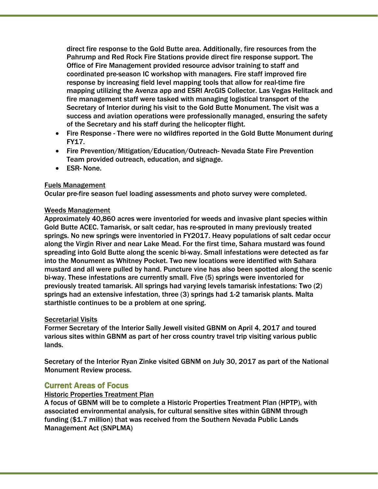direct fire response to the Gold Butte area. Additionally, fire resources from the Pahrump and Red Rock Fire Stations provide direct fire response support. The Office of Fire Management provided resource advisor training to staff and coordinated pre-season IC workshop with managers. Fire staff improved fire response by increasing field level mapping tools that allow for real-time fire mapping utilizing the Avenza app and ESRI ArcGIS Collector. Las Vegas Helitack and fire management staff were tasked with managing logistical transport of the Secretary of Interior during his visit to the Gold Butte Monument. The visit was a success and aviation operations were professionally managed, ensuring the safety of the Secretary and his staff during the helicopter flight.

- Fire Response There were no wildfires reported in the Gold Butte Monument during FY17.
- Fire Prevention/Mitigation/Education/Outreach- Nevada State Fire Prevention Team provided outreach, education, and signage.
- ESR- None.

### Fuels Management

Ocular pre-fire season fuel loading assessments and photo survey were completed.

### Weeds Management

Approximately 40,860 acres were inventoried for weeds and invasive plant species within Gold Butte ACEC. Tamarisk, or salt cedar, has re-sprouted in many previously treated springs. No new springs were inventoried in FY2017. Heavy populations of salt cedar occur along the Virgin River and near Lake Mead. For the first time, Sahara mustard was found spreading into Gold Butte along the scenic bi-way. Small infestations were detected as far into the Monument as Whitney Pocket. Two new locations were identified with Sahara mustard and all were pulled by hand. Puncture vine has also been spotted along the scenic bi-way. These infestations are currently small. Five (5) springs were inventoried for previously treated tamarisk. All springs had varying levels tamarisk infestations: Two (2) springs had an extensive infestation, three (3) springs had 1-2 tamarisk plants. Malta starthistle continues to be a problem at one spring.

### Secretarial Visits

Former Secretary of the Interior Sally Jewell visited GBNM on April 4, 2017 and toured various sites within GBNM as part of her cross country travel trip visiting various public lands.

Secretary of the Interior Ryan Zinke visited GBNM on July 30, 2017 as part of the National Monument Review process.

# Current Areas of Focus

### Historic Properties Treatment Plan

A focus of GBNM will be to complete a Historic Properties Treatment Plan (HPTP), with associated environmental analysis, for cultural sensitive sites within GBNM through funding (\$1.7 million) that was received from the Southern Nevada Public Lands Management Act (SNPLMA)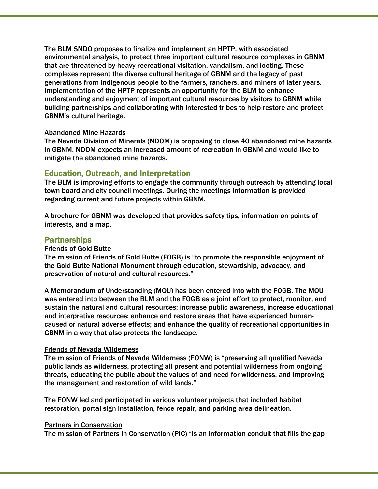The BLM SNDO proposes to finalize and implement an HPTP, with associated environmental analysis, to protect three important cultural resource complexes in GBNM that are threatened by heavy recreational visitation, vandalism, and looting. These complexes represent the diverse cultural heritage of GBNM and the legacy of past generations from indigenous people to the farmers, ranchers, and miners of later years. Implementation of the HPTP represents an opportunity for the BLM to enhance understanding and enjoyment of important cultural resources by visitors to GBNM while building partnerships and collaborating with interested tribes to help restore and protect GBNM's cultural heritage.

#### Abandoned Mine Hazards

The Nevada Division of Minerals (NDOM) is proposing to close 40 abandoned mine hazards in GBNM. NDOM expects an increased amount of recreation in GBNM and would like to mitigate the abandoned mine hazards.

#### Education, Outreach, and Interpretation

The BLM is improving efforts to engage the community through outreach by attending local town board and city council meetings. During the meetings information is provided regarding current and future projects within GBNM.

A brochure for GBNM was developed that provides safety tips, information on points of interests, and a map.

#### Partnerships

#### Friends of Gold Butte

The mission of Friends of Gold Butte (FOGB) is "to promote the responsible enjoyment of the Gold Butte National Monument through education, stewardship, advocacy, and preservation of natural and cultural resources."

A Memorandum of Understanding (MOU) has been entered into with the FOGB. The MOU was entered into between the BLM and the FOGB as a joint effort to protect, monitor, and sustain the natural and cultural resources; increase public awareness, increase educational and interpretive resources; enhance and restore areas that have experienced humancaused or natural adverse effects; and enhance the quality of recreational opportunities in GBNM in a way that also protects the landscape.

#### Friends of Nevada Wilderness

The mission of Friends of Nevada Wilderness (FONW) is "preserving all qualified Nevada public lands as wilderness, protecting all present and potential wilderness from ongoing threats, educating the public about the values of and need for wilderness, and improving the management and restoration of wild lands."

The FONW led and participated in various volunteer projects that included habitat restoration, portal sign installation, fence repair, and parking area delineation.

#### Partners in Conservation

The mission of Partners in Conservation (PIC) "is an information conduit that fills the gap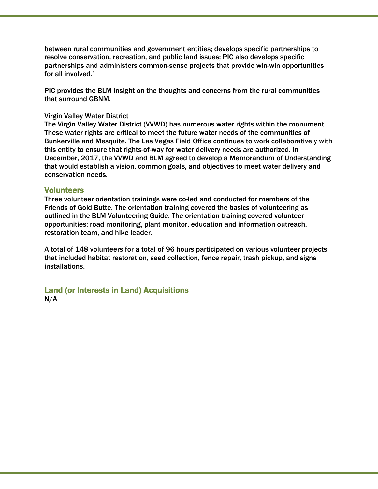between rural communities and government entities; develops specific partnerships to resolve conservation, recreation, and public land issues; PIC also develops specific partnerships and administers common-sense projects that provide win-win opportunities for all involved."

PIC provides the BLM insight on the thoughts and concerns from the rural communities that surround GBNM.

#### Virgin Valley Water District

The Virgin Valley Water District (VVWD) has numerous water rights within the monument. These water rights are critical to meet the future water needs of the communities of Bunkerville and Mesquite. The Las Vegas Field Office continues to work collaboratively with this entity to ensure that rights-of-way for water delivery needs are authorized. In December, 2017, the VVWD and BLM agreed to develop a Memorandum of Understanding that would establish a vision, common goals, and objectives to meet water delivery and conservation needs.

### **Volunteers**

Three volunteer orientation trainings were co-led and conducted for members of the Friends of Gold Butte. The orientation training covered the basics of volunteering as outlined in the BLM Volunteering Guide. The orientation training covered volunteer opportunities: road monitoring, plant monitor, education and information outreach, restoration team, and hike leader.

A total of 148 volunteers for a total of 96 hours participated on various volunteer projects that included habitat restoration, seed collection, fence repair, trash pickup, and signs installations.

Land (or Interests in Land) Acquisitions N/A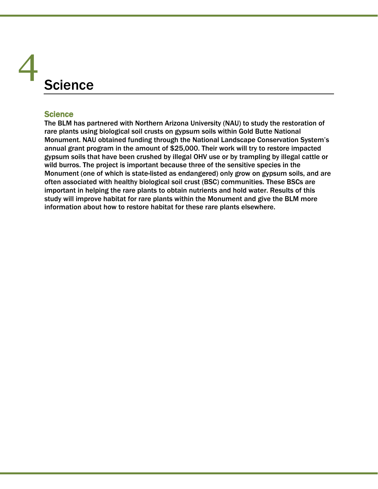# **Science** 4

# **Science**

The BLM has partnered with Northern Arizona University (NAU) to study the restoration of rare plants using biological soil crusts on gypsum soils within Gold Butte National Monument. NAU obtained funding through the National Landscape Conservation System's annual grant program in the amount of \$25,000. Their work will try to restore impacted gypsum soils that have been crushed by illegal OHV use or by trampling by illegal cattle or wild burros. The project is important because three of the sensitive species in the Monument (one of which is state-listed as endangered) only grow on gypsum soils, and are often associated with healthy biological soil crust (BSC) communities. These BSCs are important in helping the rare plants to obtain nutrients and hold water. Results of this study will improve habitat for rare plants within the Monument and give the BLM more information about how to restore habitat for these rare plants elsewhere.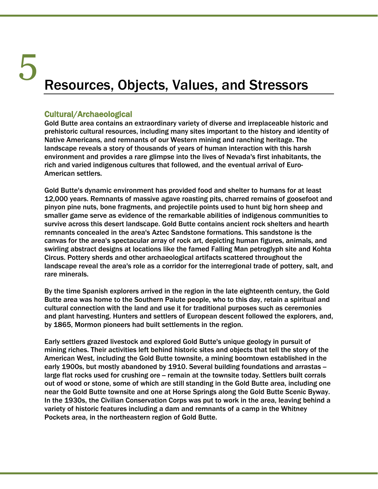# Resources, Objects, Values, and Stressors 5

Cultural/Archaeological<br>Gold Butte area contains an extraordinary variety of diverse and irreplaceable historic and prehistoric cultural resources, including many sites important to the history and identity of Native Americans, and remnants of our Western mining and ranching heritage. The landscape reveals a story of thousands of years of human interaction with this harsh environment and provides a rare glimpse into the lives of Nevada's first inhabitants, the rich and varied indigenous cultures that followed, and the eventual arrival of Euro-American settlers.

Gold Butte's dynamic environment has provided food and shelter to humans for at least 12,000 years. Remnants of massive agave roasting pits, charred remains of goosefoot and pinyon pine nuts, bone fragments, and projectile points used to hunt big horn sheep and smaller game serve as evidence of the remarkable abilities of indigenous communities to survive across this desert landscape. Gold Butte contains ancient rock shelters and hearth remnants concealed in the area's Aztec Sandstone formations. This sandstone is the canvas for the area's spectacular array of rock art, depicting human figures, animals, and swirling abstract designs at locations like the famed Falling Man petroglyph site and Kohta Circus. Pottery sherds and other archaeological artifacts scattered throughout the landscape reveal the area's role as a corridor for the interregional trade of pottery, salt, and rare minerals.

By the time Spanish explorers arrived in the region in the late eighteenth century, the Gold Butte area was home to the Southern Paiute people, who to this day, retain a spiritual and cultural connection with the land and use it for traditional purposes such as ceremonies and plant harvesting. Hunters and settlers of European descent followed the explorers, and, by 1865, Mormon pioneers had built settlements in the region.

Early settlers grazed livestock and explored Gold Butte's unique geology in pursuit of mining riches. Their activities left behind historic sites and objects that tell the story of the American West, including the Gold Butte townsite, a mining boomtown established in the early 1900s, but mostly abandoned by 1910. Several building foundations and arrastas large flat rocks used for crushing ore – remain at the townsite today. Settlers built corrals out of wood or stone, some of which are still standing in the Gold Butte area, including one near the Gold Butte townsite and one at Horse Springs along the Gold Butte Scenic Byway. In the 1930s, the Civilian Conservation Corps was put to work in the area, leaving behind a variety of historic features including a dam and remnants of a camp in the Whitney Pockets area, in the northeastern region of Gold Butte.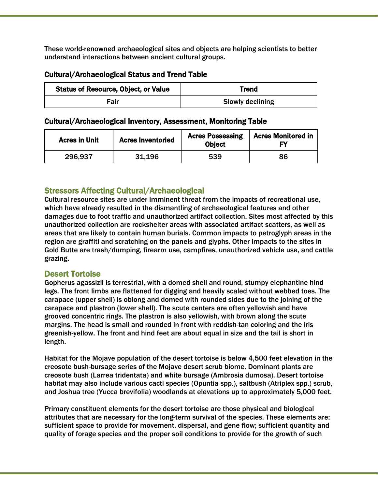These world-renowned archaeological sites and objects are helping scientists to better understand interactions between ancient cultural groups.

# Cultural/Archaeological Status and Trend Table

| <b>Status of Resource, Object, or Value</b> | Trend                   |
|---------------------------------------------|-------------------------|
| Fair                                        | <b>Slowly declining</b> |

### Cultural/Archaeological Inventory, Assessment, Monitoring Table

| <b>Acres in Unit</b> | <b>Acres Inventoried</b> | <b>Acres Possessing</b><br><b>Object</b> | <b>Acres Monitored in</b> |
|----------------------|--------------------------|------------------------------------------|---------------------------|
| 296,937              | 31.196                   | 539                                      | 86                        |

# Stressors Affecting Cultural/Archaeological

Cultural resource sites are under imminent threat from the impacts of recreational use, which have already resulted in the dismantling of archaeological features and other damages due to foot traffic and unauthorized artifact collection. Sites most affected by this unauthorized collection are rockshelter areas with associated artifact scatters, as well as areas that are likely to contain human burials. Common impacts to petroglyph areas in the region are graffiti and scratching on the panels and glyphs. Other impacts to the sites in Gold Butte are trash/dumping, firearm use, campfires, unauthorized vehicle use, and cattle grazing.

# Desert Tortoise

Gopherus agassizii is terrestrial, with a domed shell and round, stumpy elephantine hind legs. The front limbs are flattened for digging and heavily scaled without webbed toes. The carapace (upper shell) is oblong and domed with rounded sides due to the joining of the carapace and plastron (lower shell). The scute centers are often yellowish and have grooved concentric rings. The plastron is also yellowish, with brown along the scute margins. The head is small and rounded in front with reddish-tan coloring and the iris greenish-yellow. The front and hind feet are about equal in size and the tail is short in length.

Habitat for the Mojave population of the desert tortoise is below 4,500 feet elevation in the creosote bush-bursage series of the Mojave desert scrub biome. Dominant plants are creosote bush (Larrea tridentata) and white bursage (Ambrosia dumosa). Desert tortoise habitat may also include various cacti species (Opuntia spp.), saltbush (Atriplex spp.) scrub, and Joshua tree (Yucca brevifolia) woodlands at elevations up to approximately 5,000 feet.

Primary constituent elements for the desert tortoise are those physical and biological attributes that are necessary for the long-term survival of the species. These elements are: sufficient space to provide for movement, dispersal, and gene flow; sufficient quantity and quality of forage species and the proper soil conditions to provide for the growth of such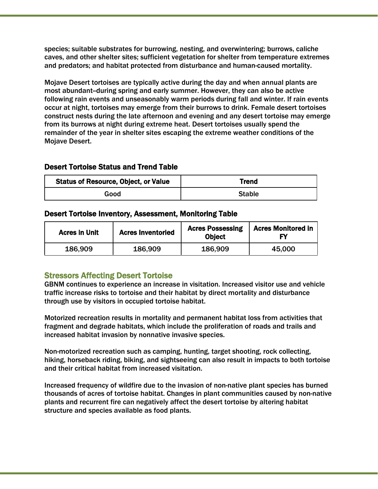species; suitable substrates for burrowing, nesting, and overwintering; burrows, caliche caves, and other shelter sites; sufficient vegetation for shelter from temperature extremes and predators; and habitat protected from disturbance and human-caused mortality.

Mojave Desert tortoises are typically active during the day and when annual plants are most abundant-during spring and early summer. However, they can also be active following rain events and unseasonably warm periods during fall and winter. If rain events occur at night, tortoises may emerge from their burrows to drink. Female desert tortoises construct nests during the late afternoon and evening and any desert tortoise may emerge from its burrows at night during extreme heat. Desert tortoises usually spend the remainder of the year in shelter sites escaping the extreme weather conditions of the Mojave Desert.

# Desert Tortoise Status and Trend Table

| <b>Status of Resource, Object, or Value</b> | Trend         |
|---------------------------------------------|---------------|
| Good                                        | <b>Stable</b> |

# Desert Tortoise Inventory, Assessment, Monitoring Table

| <b>Acres in Unit</b> | <b>Acres Inventoried</b> | <b>Acres Possessing</b><br><b>Object</b> | <b>Acres Monitored in</b> |
|----------------------|--------------------------|------------------------------------------|---------------------------|
| 186,909              | 186,909                  | 186,909                                  | 45,000                    |

Stressors Affecting Desert Tortoise<br>GBNM continues to experience an increase in visitation. Increased visitor use and vehicle traffic increase risks to tortoise and their habitat by direct mortality and disturbance through use by visitors in occupied tortoise habitat.

Motorized recreation results in mortality and permanent habitat loss from activities that fragment and degrade habitats, which include the proliferation of roads and trails and increased habitat invasion by nonnative invasive species.

Non-motorized recreation such as camping, hunting, target shooting, rock collecting, hiking, horseback riding, biking, and sightseeing can also result in impacts to both tortoise and their critical habitat from increased visitation.

Increased frequency of wildfire due to the invasion of non-native plant species has burned thousands of acres of tortoise habitat. Changes in plant communities caused by non-native plants and recurrent fire can negatively affect the desert tortoise by altering habitat structure and species available as food plants.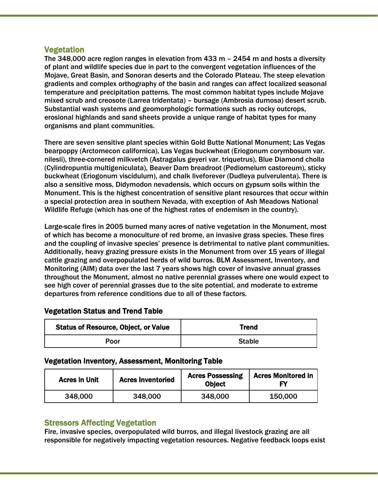**Vegetation**<br>The 348,000 acre region ranges in elevation from 433 m – 2454 m and hosts a diversity of plant and wildlife species due in part to the convergent vegetation influences of the Mojave, Great Basin, and Sonoran deserts and the Colorado Plateau. The steep elevation gradients and complex orthography of the basin and ranges can affect localized seasonal temperature and precipitation patterns. The most common habitat types include Mojave mixed scrub and creosote (Larrea tridentata) – bursage (Ambrosia dumosa) desert scrub. Substantial wash systems and geomorphologic formations such as rocky outcrops, erosional highlands and sand sheets provide a unique range of habitat types for many organisms and plant communities.

There are seven sensitive plant species within Gold Butte National Monument; Las Vegas bearpoppy (Arctomecon californica), Las Vegas buckwheat (Eriogonum corymbosum var. nilesii), three-cornered milkvetch (Astragalus geyeri var. triquetrus), Blue Diamond cholla (Cylindropuntia multigeniculata), Beaver Dam breadroot (Pediomelum castoreum), sticky buckwheat (Eriogonum viscidulum), and chalk liveforever (Dudleya pulverulenta). There is also a sensitive moss, Didymodon nevadensis, which occurs on gypsum soils within the Monument. This is the highest concentration of sensitive plant resources that occur within a special protection area in southern Nevada, with exception of Ash Meadows National Wildlife Refuge (which has one of the highest rates of endemism in the country).

Large-scale fires in 2005 burned many acres of native vegetation in the Monument, most of which has become a monoculture of red brome, an invasive grass species. These fires and the coupling of invasive species' presence is detrimental to native plant communities. Additionally, heavy grazing pressure exists in the Monument from over 15 years of illegal cattle grazing and overpopulated herds of wild burros. BLM Assessment, Inventory, and Monitoring (AIM) data over the last 7 years shows high cover of invasive annual grasses throughout the Monument, almost no native perennial grasses where one would expect to see high cover of perennial grasses due to the site potential, and moderate to extreme departures from reference conditions due to all of these factors.

# Vegetation Status and Trend Table

| <b>Status of Resource, Object, or Value</b> | Trend         |
|---------------------------------------------|---------------|
| Poor                                        | <b>Stable</b> |

# Vegetation Inventory, Assessment, Monitoring Table

| <b>Acres in Unit</b> | <b>Acres Inventoried</b> | <b>Acres Possessing</b><br><b>Object</b> | <b>Acres Monitored in</b> |
|----------------------|--------------------------|------------------------------------------|---------------------------|
| 348,000              | 348,000                  | 348,000                                  | 150,000                   |

# Stressors Affecting Vegetation

Fire, invasive species, overpopulated wild burros, and illegal livestock grazing are all responsible for negatively impacting vegetation resources. Negative feedback loops exist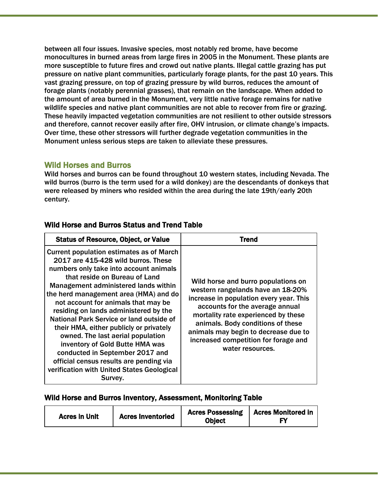between all four issues. Invasive species, most notably red brome, have become monocultures in burned areas from large fires in 2005 in the Monument. These plants are more susceptible to future fires and crowd out native plants. Illegal cattle grazing has put pressure on native plant communities, particularly forage plants, for the past 10 years. This vast grazing pressure, on top of grazing pressure by wild burros, reduces the amount of forage plants (notably perennial grasses), that remain on the landscape. When added to the amount of area burned in the Monument, very little native forage remains for native wildlife species and native plant communities are not able to recover from fire or grazing. These heavily impacted vegetation communities are not resilient to other outside stressors and therefore, cannot recover easily after fire, OHV intrusion, or climate change's impacts. Over time, these other stressors will further degrade vegetation communities in the Monument unless serious steps are taken to alleviate these pressures.

Wild Horses and Burros<br>Wild horses and burros can be found throughout 10 western states, including Nevada. The wild burros (burro is the term used for a wild donkey) are the descendants of donkeys that were released by miners who resided within the area during the late 19th/early 20th century.

| <b>Status of Resource, Object, or Value</b>                                                                                                                                                                                                                                                                                                                                                                                                                                                                                                                                                                                              | Trend                                                                                                                                                                                                                                                                                                                                  |
|------------------------------------------------------------------------------------------------------------------------------------------------------------------------------------------------------------------------------------------------------------------------------------------------------------------------------------------------------------------------------------------------------------------------------------------------------------------------------------------------------------------------------------------------------------------------------------------------------------------------------------------|----------------------------------------------------------------------------------------------------------------------------------------------------------------------------------------------------------------------------------------------------------------------------------------------------------------------------------------|
| <b>Current population estimates as of March</b><br>2017 are 415-428 wild burros. These<br>numbers only take into account animals<br>that reside on Bureau of Land<br>Management administered lands within<br>the herd management area (HMA) and do<br>not account for animals that may be<br>residing on lands administered by the<br>National Park Service or land outside of<br>their HMA, either publicly or privately<br>owned. The last aerial population<br>inventory of Gold Butte HMA was<br>conducted in September 2017 and<br>official census results are pending via<br>verification with United States Geological<br>Survey. | Wild horse and burro populations on<br>western rangelands have an 18-20%<br>increase in population every year. This<br>accounts for the average annual<br>mortality rate experienced by these<br>animals. Body conditions of these<br>animals may begin to decrease due to<br>increased competition for forage and<br>water resources. |

# Wild Horse and Burros Status and Trend Table

# Wild Horse and Burros Inventory, Assessment, Monitoring Table

| <b>Acres Inventoried</b><br><b>Acres in Unit</b> | <b>Acres Possessing</b><br><b>Object</b> | <b>Acres Monitored in</b> |
|--------------------------------------------------|------------------------------------------|---------------------------|
|--------------------------------------------------|------------------------------------------|---------------------------|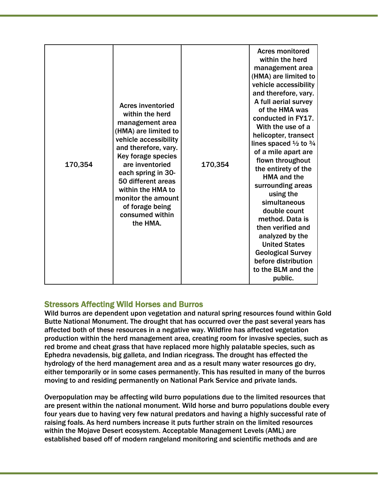| 170,354 | <b>Acres inventoried</b><br>within the herd<br>management area<br>(HMA) are limited to<br>vehicle accessibility<br>and therefore, vary.<br>Key forage species<br>are inventoried<br>each spring in 30-<br>50 different areas<br>within the HMA to<br>monitor the amount<br>of forage being<br>consumed within<br>the HMA. | 170,354 | <b>Acres monitored</b><br>within the herd<br>management area<br>(HMA) are limited to<br>vehicle accessibility<br>and therefore, vary.<br>A full aerial survey<br>of the HMA was<br>conducted in FY17.<br>With the use of a<br>helicopter, transect<br>lines spaced $\frac{1}{2}$ to $\frac{3}{4}$<br>of a mile apart are<br>flown throughout<br>the entirety of the<br><b>HMA and the</b><br>surrounding areas<br>using the<br>simultaneous<br>double count<br>method. Data is<br>then verified and<br>analyzed by the<br><b>United States</b><br><b>Geological Survey</b><br>before distribution<br>to the BLM and the<br>public. |
|---------|---------------------------------------------------------------------------------------------------------------------------------------------------------------------------------------------------------------------------------------------------------------------------------------------------------------------------|---------|------------------------------------------------------------------------------------------------------------------------------------------------------------------------------------------------------------------------------------------------------------------------------------------------------------------------------------------------------------------------------------------------------------------------------------------------------------------------------------------------------------------------------------------------------------------------------------------------------------------------------------|
|---------|---------------------------------------------------------------------------------------------------------------------------------------------------------------------------------------------------------------------------------------------------------------------------------------------------------------------------|---------|------------------------------------------------------------------------------------------------------------------------------------------------------------------------------------------------------------------------------------------------------------------------------------------------------------------------------------------------------------------------------------------------------------------------------------------------------------------------------------------------------------------------------------------------------------------------------------------------------------------------------------|

# Stressors Affecting Wild Horses and Burros

Wild burros are dependent upon vegetation and natural spring resources found within Gold Butte National Monument. The drought that has occurred over the past several years has affected both of these resources in a negative way. Wildfire has affected vegetation production within the herd management area, creating room for invasive species, such as red brome and cheat grass that have replaced more highly palatable species, such as Ephedra nevadensis, big galleta, and Indian ricegrass. The drought has effected the hydrology of the herd management area and as a result many water resources go dry, either temporarily or in some cases permanently. This has resulted in many of the burros moving to and residing permanently on National Park Service and private lands.

Overpopulation may be affecting wild burro populations due to the limited resources that are present within the national monument. Wild horse and burro populations double every four years due to having very few natural predators and having a highly successful rate of raising foals. As herd numbers increase it puts further strain on the limited resources within the Mojave Desert ecosystem. Acceptable Management Levels (AML) are established based off of modern rangeland monitoring and scientific methods and are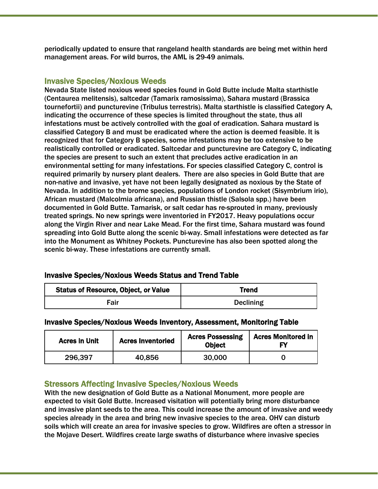periodically updated to ensure that rangeland health standards are being met within herd management areas. For wild burros, the AML is 29-49 animals.

**Invasive Species/Noxious Weeds** Nevala in Gold Butte include Malta starthistle Nevada State listed noxious weed species found in Gold Butte include Malta starthistle (Centaurea melitensis), saltcedar (Tamarix ramosissima), Sahara mustard (Brassica tournefortii) and puncturevine (Tribulus terrestris). Malta starthistle is classified Category A, indicating the occurrence of these species is limited throughout the state, thus all infestations must be actively controlled with the goal of eradication. Sahara mustard is classified Category B and must be eradicated where the action is deemed feasible. It is recognized that for Category B species, some infestations may be too extensive to be realistically controlled or eradicated. Saltcedar and puncturevine are Category C, indicating the species are present to such an extent that precludes active eradication in an environmental setting for many infestations. For species classified Category C, control is required primarily by nursery plant dealers. There are also species in Gold Butte that are non-native and invasive, yet have not been legally designated as noxious by the State of Nevada. In addition to the brome species, populations of London rocket (Sisymbrium irio), African mustard (Malcolmia africana), and Russian thistle (Salsola spp.) have been documented in Gold Butte. Tamarisk, or salt cedar has re-sprouted in many, previously treated springs. No new springs were inventoried in FY2017. Heavy populations occur along the Virgin River and near Lake Mead. For the first time, Sahara mustard was found spreading into Gold Butte along the scenic bi-way. Small infestations were detected as far into the Monument as Whitney Pockets. Puncturevine has also been spotted along the scenic bi-way. These infestations are currently small.

| <b>Invasive Species/Noxious Weeds Status and Trend Table</b> |
|--------------------------------------------------------------|
|                                                              |

| <b>Status of Resource, Object, or Value</b> | Trend            |
|---------------------------------------------|------------------|
| Fair                                        | <b>Declining</b> |

# Invasive Species/Noxious Weeds Inventory, Assessment, Monitoring Table

| <b>Acres in Unit</b> | <b>Acres Inventoried</b> | <b>Acres Possessing</b><br><b>Object</b> | <b>Acres Monitored in</b> |
|----------------------|--------------------------|------------------------------------------|---------------------------|
| 296,397              | 40,856                   | 30,000                                   |                           |

# Stressors Affecting Invasive Species/Noxious Weeds

With the new designation of Gold Butte as a National Monument, more people are expected to visit Gold Butte. Increased visitation will potentially bring more disturbance and invasive plant seeds to the area. This could increase the amount of invasive and weedy species already in the area and bring new invasive species to the area. OHV can disturb soils which will create an area for invasive species to grow. Wildfires are often a stressor in the Mojave Desert. Wildfires create large swaths of disturbance where invasive species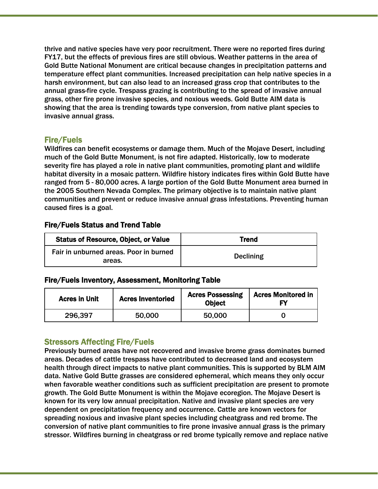thrive and native species have very poor recruitment. There were no reported fires during FY17, but the effects of previous fires are still obvious. Weather patterns in the area of Gold Butte National Monument are critical because changes in precipitation patterns and temperature effect plant communities. Increased precipitation can help native species in a harsh environment, but can also lead to an increased grass crop that contributes to the annual grass-fire cycle. Trespass grazing is contributing to the spread of invasive annual grass, other fire prone invasive species, and noxious weeds. Gold Butte AIM data is showing that the area is trending towards type conversion, from native plant species to invasive annual grass.

Fire/Fuels<br>Wildfires can benefit ecosystems or damage them. Much of the Mojave Desert, including much of the Gold Butte Monument, is not fire adapted. Historically, low to moderate severity fire has played a role in native plant communities, promoting plant and wildlife habitat diversity in a mosaic pattern. Wildfire history indicates fires within Gold Butte have ranged from 5 - 80,000 acres. A large portion of the Gold Butte Monument area burned in the 2005 Southern Nevada Complex. The primary objective is to maintain native plant communities and prevent or reduce invasive annual grass infestations. Preventing human caused fires is a goal.

# Fire/Fuels Status and Trend Table

| <b>Status of Resource, Object, or Value</b>      | Trend            |
|--------------------------------------------------|------------------|
| Fair in unburned areas. Poor in burned<br>areas. | <b>Declining</b> |

# Fire/Fuels Inventory, Assessment, Monitoring Table

| <b>Acres in Unit</b> | <b>Acres Inventoried</b> | <b>Acres Possessing</b><br><b>Object</b> | <b>Acres Monitored in</b> |
|----------------------|--------------------------|------------------------------------------|---------------------------|
| 296,397              | 50,000                   | 50,000                                   |                           |

# Stressors Affecting Fire/Fuels

Previously burned areas have not recovered and invasive brome grass dominates burned areas. Decades of cattle trespass have contributed to decreased land and ecosystem health through direct impacts to native plant communities. This is supported by BLM AIM data. Native Gold Butte grasses are considered ephemeral, which means they only occur when favorable weather conditions such as sufficient precipitation are present to promote growth. The Gold Butte Monument is within the Mojave ecoregion. The Mojave Desert is known for its very low annual precipitation. Native and invasive plant species are very dependent on precipitation frequency and occurrence. Cattle are known vectors for spreading noxious and invasive plant species including cheatgrass and red brome. The conversion of native plant communities to fire prone invasive annual grass is the primary stressor. Wildfires burning in cheatgrass or red brome typically remove and replace native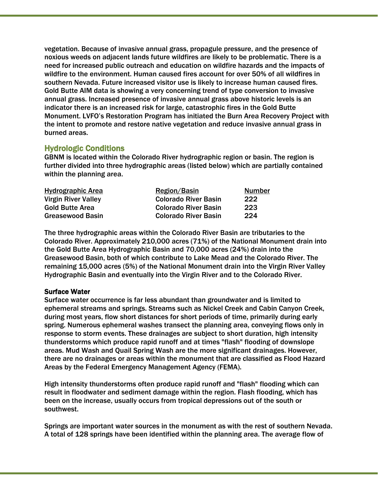vegetation. Because of invasive annual grass, propagule pressure, and the presence of noxious weeds on adjacent lands future wildfires are likely to be problematic. There is a need for increased public outreach and education on wildfire hazards and the impacts of wildfire to the environment. Human caused fires account for over 50% of all wildfires in southern Nevada. Future increased visitor use is likely to increase human caused fires. Gold Butte AIM data is showing a very concerning trend of type conversion to invasive annual grass. Increased presence of invasive annual grass above historic levels is an indicator there is an increased risk for large, catastrophic fires in the Gold Butte Monument. LVFO's Restoration Program has initiated the Burn Area Recovery Project with the intent to promote and restore native vegetation and reduce invasive annual grass in burned areas.

Hydrologic Conditions<br>GBNM is located within the Colorado River hydrographic region or basin. The region is further divided into three hydrographic areas (listed below) which are partially contained within the planning area.

| <b>Hydrographic Area</b>   | Region/Basin                | <b>Number</b> |
|----------------------------|-----------------------------|---------------|
| <b>Virgin River Valley</b> | <b>Colorado River Basin</b> | 222           |
| <b>Gold Butte Area</b>     | <b>Colorado River Basin</b> | 223           |
| Greasewood Basin           | <b>Colorado River Basin</b> | 224           |

The three hydrographic areas within the Colorado River Basin are tributaries to the Colorado River. Approximately 210,000 acres (71%) of the National Monument drain into the Gold Butte Area Hydrographic Basin and 70,000 acres (24%) drain into the Greasewood Basin, both of which contribute to Lake Mead and the Colorado River. The remaining 15,000 acres (5%) of the National Monument drain into the Virgin River Valley Hydrographic Basin and eventually into the Virgin River and to the Colorado River.

# Surface Water

Surface water occurrence is far less abundant than groundwater and is limited to ephemeral streams and springs. Streams such as Nickel Creek and Cabin Canyon Creek, during most years, flow short distances for short periods of time, primarily during early spring. Numerous ephemeral washes transect the planning area, conveying flows only in response to storm events. These drainages are subject to short duration, high intensity thunderstorms which produce rapid runoff and at times "flash" flooding of downslope areas. Mud Wash and Quail Spring Wash are the more significant drainages. However, there are no drainages or areas within the monument that are classified as Flood Hazard Areas by the Federal Emergency Management Agency (FEMA).

High intensity thunderstorms often produce rapid runoff and "flash" flooding which can result in floodwater and sediment damage within the region. Flash flooding, which has been on the increase, usually occurs from tropical depressions out of the south or southwest.

Springs are important water sources in the monument as with the rest of southern Nevada. A total of 128 springs have been identified within the planning area. The average flow of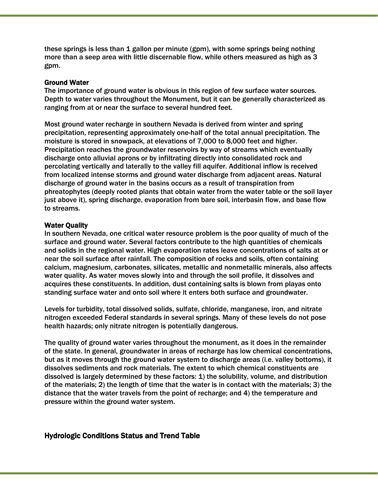these springs is less than 1 gallon per minute (gpm), with some springs being nothing more than a seep area with little discernable flow, while others measured as high as 3 gpm.

#### Ground Water

The importance of ground water is obvious in this region of few surface water sources. Depth to water varies throughout the Monument, but it can be generally characterized as ranging from at or near the surface to several hundred feet.

Most ground water recharge in southern Nevada is derived from winter and spring precipitation, representing approximately one-half of the total annual precipitation. The moisture is stored in snowpack, at elevations of 7,000 to 8,000 feet and higher. Precipitation reaches the groundwater reservoirs by way of streams which eventually discharge onto alluvial aprons or by infiltrating directly into consolidated rock and percolating vertically and laterally to the valley fill aquifer. Additional inflow is received from localized intense storms and ground water discharge from adjacent areas. Natural discharge of ground water in the basins occurs as a result of transpiration from phreatophytes (deeply rooted plants that obtain water from the water table or the soil layer just above it), spring discharge, evaporation from bare soil, interbasin flow, and base flow to streams.

#### Water Quality

In southern Nevada, one critical water resource problem is the poor quality of much of the surface and ground water. Several factors contribute to the high quantities of chemicals and solids in the regional water. High evaporation rates leave concentrations of salts at or near the soil surface after rainfall. The composition of rocks and soils, often containing calcium, magnesium, carbonates, silicates, metallic and nonmetallic minerals, also affects water quality. As water moves slowly into and through the soil profile, it dissolves and acquires these constituents. In addition, dust containing salts is blown from playas onto standing surface water and onto soil where it enters both surface and groundwater.

Levels for turbidity, total dissolved solids, sulfate, chloride, manganese, iron, and nitrate nitrogen exceeded Federal standards in several springs. Many of these levels do not pose health hazards; only nitrate nitrogen is potentially dangerous.

The quality of ground water varies throughout the monument, as it does in the remainder of the state. In general, groundwater in areas of recharge has low chemical concentrations, but as it moves through the ground water system to discharge areas (i.e. valley bottoms), it dissolves sediments and rock materials. The extent to which chemical constituents are dissolved is largely determined by these factors: 1) the solubility, volume, and distribution of the materials; 2) the length of time that the water is in contact with the materials; 3) the distance that the water travels from the point of recharge; and 4) the temperature and pressure within the ground water system.

#### Hydrologic Conditions Status and Trend Table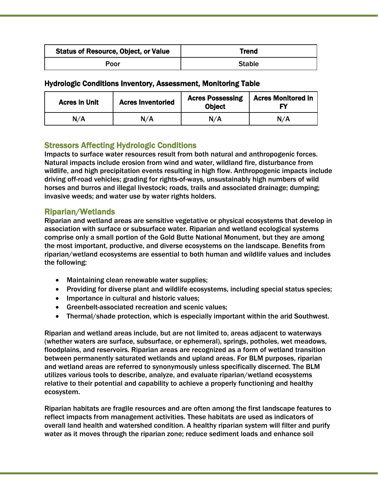| <b>Status of Resource, Object, or Value</b> | Trend         |
|---------------------------------------------|---------------|
| Poor                                        | <b>Stable</b> |

# Hydrologic Conditions Inventory, Assessment, Monitoring Table

| <b>Acres in Unit</b> | <b>Acres Inventoried</b> | <b>Acres Possessing</b><br><b>Object</b> | <b>Acres Monitored in</b> |
|----------------------|--------------------------|------------------------------------------|---------------------------|
| N/A                  | N/A                      | N/A                                      | N/A                       |

# Stressors Affecting Hydrologic Conditions

Impacts to surface water resources result from both natural and anthropogenic forces. Natural impacts include erosion from wind and water, wildland fire, disturbance from wildlife, and high precipitation events resulting in high flow. Anthropogenic impacts include driving off-road vehicles; grading for rights-of-ways, unsustainably high numbers of wild horses and burros and illegal livestock; roads, trails and associated drainage; dumping; invasive weeds; and water use by water rights holders.

Riparian/Wetlands<br>Riparian and wetland areas are sensitive vegetative or physical ecosystems that develop in association with surface or subsurface water. Riparian and wetland ecological systems comprise only a small portion of the Gold Butte National Monument, but they are among the most important, productive, and diverse ecosystems on the landscape. Benefits from riparian/wetland ecosystems are essential to both human and wildlife values and includes the following:

- Maintaining clean renewable water supplies;
- Providing for diverse plant and wildlife ecosystems, including special status species;
- Importance in cultural and historic values;
- Greenbelt-associated recreation and scenic values;
- Thermal/shade protection, which is especially important within the arid Southwest.

Riparian and wetland areas include, but are not limited to, areas adjacent to waterways (whether waters are surface, subsurface, or ephemeral), springs, potholes, wet meadows, floodplains, and reservoirs. Riparian areas are recognized as a form of wetland transition between permanently saturated wetlands and upland areas. For BLM purposes, riparian and wetland areas are referred to synonymously unless specifically discerned. The BLM utilizes various tools to describe, analyze, and evaluate riparian/wetland ecosystems relative to their potential and capability to achieve a properly functioning and healthy ecosystem.

Riparian habitats are fragile resources and are often among the first landscape features to reflect impacts from management activities. These habitats are used as indicators of overall land health and watershed condition. A healthy riparian system will filter and purify water as it moves through the riparian zone; reduce sediment loads and enhance soil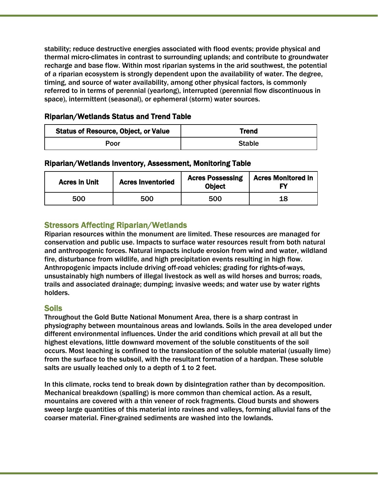stability; reduce destructive energies associated with flood events; provide physical and thermal micro-climates in contrast to surrounding uplands; and contribute to groundwater recharge and base flow. Within most riparian systems in the arid southwest, the potential of a riparian ecosystem is strongly dependent upon the availability of water. The degree, timing, and source of water availability, among other physical factors, is commonly referred to in terms of perennial (yearlong), interrupted (perennial flow discontinuous in space), intermittent (seasonal), or ephemeral (storm) water sources.

# Riparian/Wetlands Status and Trend Table

| <b>Status of Resource, Object, or Value</b> | Trend         |
|---------------------------------------------|---------------|
| Poor                                        | <b>Stable</b> |

# Riparian/Wetlands Inventory, Assessment, Monitoring Table

| <b>Acres in Unit</b> | <b>Acres Inventoried</b> | <b>Acres Possessing</b><br><b>Object</b> | <b>Acres Monitored in</b> |
|----------------------|--------------------------|------------------------------------------|---------------------------|
| 500                  | 500                      | 500                                      | 18                        |

# Stressors Affecting Riparian/Wetlands

Riparian resources within the monument are limited. These resources are managed for conservation and public use. Impacts to surface water resources result from both natural and anthropogenic forces. Natural impacts include erosion from wind and water, wildland fire, disturbance from wildlife, and high precipitation events resulting in high flow. Anthropogenic impacts include driving off-road vehicles; grading for rights-of-ways, unsustainably high numbers of illegal livestock as well as wild horses and burros; roads, trails and associated drainage; dumping; invasive weeds; and water use by water rights holders.

Soils<br>Throughout the Gold Butte National Monument Area, there is a sharp contrast in physiography between mountainous areas and lowlands. Soils in the area developed under different environmental influences. Under the arid conditions which prevail at all but the highest elevations, little downward movement of the soluble constituents of the soil occurs. Most leaching is confined to the translocation of the soluble material (usually lime) from the surface to the subsoil, with the resultant formation of a hardpan. These soluble salts are usually leached only to a depth of 1 to 2 feet.

In this climate, rocks tend to break down by disintegration rather than by decomposition. Mechanical breakdown (spalling) is more common than chemical action. As a result, mountains are covered with a thin veneer of rock fragments. Cloud bursts and showers sweep large quantities of this material into ravines and valleys, forming alluvial fans of the coarser material. Finer-grained sediments are washed into the lowlands.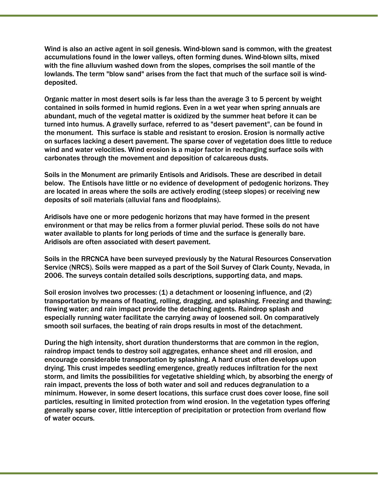Wind is also an active agent in soil genesis. Wind-blown sand is common, with the greatest accumulations found in the lower valleys, often forming dunes. Wind-blown silts, mixed with the fine alluvium washed down from the slopes, comprises the soil mantle of the lowlands. The term "blow sand" arises from the fact that much of the surface soil is winddeposited.

Organic matter in most desert soils is far less than the average 3 to 5 percent by weight contained in soils formed in humid regions. Even in a wet year when spring annuals are abundant, much of the vegetal matter is oxidized by the summer heat before it can be turned into humus. A gravelly surface, referred to as "desert pavement", can be found in the monument. This surface is stable and resistant to erosion. Erosion is normally active on surfaces lacking a desert pavement. The sparse cover of vegetation does little to reduce wind and water velocities. Wind erosion is a major factor in recharging surface soils with carbonates through the movement and deposition of calcareous dusts.

Soils in the Monument are primarily Entisols and Aridisols. These are described in detail below. The Entisols have little or no evidence of development of pedogenic horizons. They are located in areas where the soils are actively eroding (steep slopes) or receiving new deposits of soil materials (alluvial fans and floodplains).

Aridisols have one or more pedogenic horizons that may have formed in the present environment or that may be relics from a former pluvial period. These soils do not have water available to plants for long periods of time and the surface is generally bare. Aridisols are often associated with desert pavement.

Soils in the RRCNCA have been surveyed previously by the Natural Resources Conservation Service (NRCS). Soils were mapped as a part of the Soil Survey of Clark County, Nevada, in 2006. The surveys contain detailed soils descriptions, supporting data, and maps.

Soil erosion involves two processes: (1) a detachment or loosening influence, and (2) transportation by means of floating, rolling, dragging, and splashing. Freezing and thawing; flowing water; and rain impact provide the detaching agents. Raindrop splash and especially running water facilitate the carrying away of loosened soil. On comparatively smooth soil surfaces, the beating of rain drops results in most of the detachment.

During the high intensity, short duration thunderstorms that are common in the region, raindrop impact tends to destroy soil aggregates, enhance sheet and rill erosion, and encourage considerable transportation by splashing. A hard crust often develops upon drying. This crust impedes seedling emergence, greatly reduces infiltration for the next storm, and limits the possibilities for vegetative shielding which, by absorbing the energy of rain impact, prevents the loss of both water and soil and reduces degranulation to a minimum. However, in some desert locations, this surface crust does cover loose, fine soil particles, resulting in limited protection from wind erosion. In the vegetation types offering generally sparse cover, little interception of precipitation or protection from overland flow of water occurs.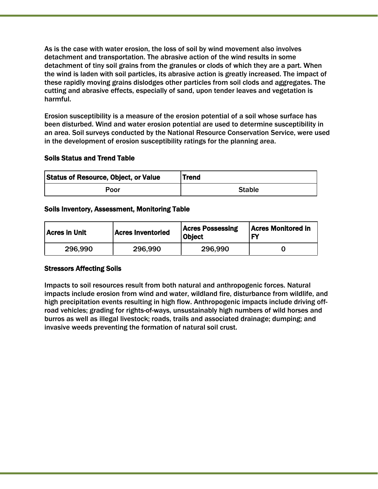As is the case with water erosion, the loss of soil by wind movement also involves detachment and transportation. The abrasive action of the wind results in some detachment of tiny soil grains from the granules or clods of which they are a part. When the wind is laden with soil particles, its abrasive action is greatly increased. The impact of these rapidly moving grains dislodges other particles from soil clods and aggregates. The cutting and abrasive effects, especially of sand, upon tender leaves and vegetation is harmful.

Erosion susceptibility is a measure of the erosion potential of a soil whose surface has been disturbed. Wind and water erosion potential are used to determine susceptibility in an area. Soil surveys conducted by the National Resource Conservation Service, were used in the development of erosion susceptibility ratings for the planning area.

### Soils Status and Trend Table

| <b>Status of Resource, Object, or Value</b> | <b>Trend</b>  |
|---------------------------------------------|---------------|
| Poor                                        | <b>Stable</b> |

### Soils Inventory, Assessment, Monitoring Table

| Acres in Unit_ | <b>Acres Inventoried</b> | <b>Acres Possessing</b><br><b>Object</b> | <b>Acres Monitored in</b><br>FΥ |
|----------------|--------------------------|------------------------------------------|---------------------------------|
| 296.990        | 296,990                  | 296,990                                  |                                 |

### Stressors Affecting Soils

Impacts to soil resources result from both natural and anthropogenic forces. Natural impacts include erosion from wind and water, wildland fire, disturbance from wildlife, and high precipitation events resulting in high flow. Anthropogenic impacts include driving offroad vehicles; grading for rights-of-ways, unsustainably high numbers of wild horses and burros as well as illegal livestock; roads, trails and associated drainage; dumping; and invasive weeds preventing the formation of natural soil crust.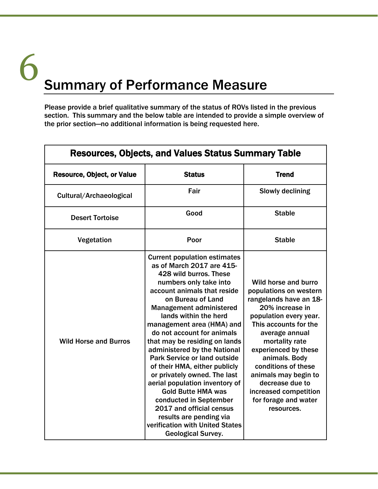# Summary of Performance Measure 6

Please provide a brief qualitative summary of the status of ROVs listed in the previous section. This summary and the below table are intended to provide a simple overview of the prior section—no additional information is being requested here.

| <b>Resources, Objects, and Values Status Summary Table</b> |                                                                                                                                                                                                                                                                                                                                                                                                                                                                                                                                                                                                                                                                                         |                                                                                                                                                                                                                                                                                                                                                              |  |  |
|------------------------------------------------------------|-----------------------------------------------------------------------------------------------------------------------------------------------------------------------------------------------------------------------------------------------------------------------------------------------------------------------------------------------------------------------------------------------------------------------------------------------------------------------------------------------------------------------------------------------------------------------------------------------------------------------------------------------------------------------------------------|--------------------------------------------------------------------------------------------------------------------------------------------------------------------------------------------------------------------------------------------------------------------------------------------------------------------------------------------------------------|--|--|
| <b>Resource, Object, or Value</b>                          | <b>Status</b>                                                                                                                                                                                                                                                                                                                                                                                                                                                                                                                                                                                                                                                                           | <b>Trend</b>                                                                                                                                                                                                                                                                                                                                                 |  |  |
| Cultural/Archaeological                                    | Fair                                                                                                                                                                                                                                                                                                                                                                                                                                                                                                                                                                                                                                                                                    | Slowly declining                                                                                                                                                                                                                                                                                                                                             |  |  |
| <b>Desert Tortoise</b>                                     | Good                                                                                                                                                                                                                                                                                                                                                                                                                                                                                                                                                                                                                                                                                    | <b>Stable</b>                                                                                                                                                                                                                                                                                                                                                |  |  |
| Vegetation                                                 | Poor                                                                                                                                                                                                                                                                                                                                                                                                                                                                                                                                                                                                                                                                                    | <b>Stable</b>                                                                                                                                                                                                                                                                                                                                                |  |  |
| <b>Wild Horse and Burros</b>                               | <b>Current population estimates</b><br>as of March 2017 are 415-<br>428 wild burros. These<br>numbers only take into<br>account animals that reside<br>on Bureau of Land<br><b>Management administered</b><br>lands within the herd<br>management area (HMA) and<br>do not account for animals<br>that may be residing on lands<br>administered by the National<br><b>Park Service or land outside</b><br>of their HMA, either publicly<br>or privately owned. The last<br>aerial population inventory of<br><b>Gold Butte HMA was</b><br>conducted in September<br>2017 and official census<br>results are pending via<br>verification with United States<br><b>Geological Survey.</b> | Wild horse and burro<br>populations on western<br>rangelands have an 18-<br>20% increase in<br>population every year.<br>This accounts for the<br>average annual<br>mortality rate<br>experienced by these<br>animals. Body<br>conditions of these<br>animals may begin to<br>decrease due to<br>increased competition<br>for forage and water<br>resources. |  |  |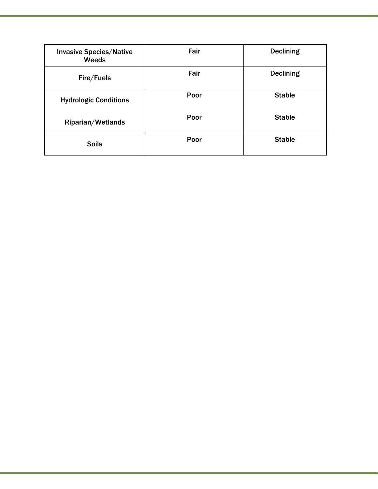| <b>Invasive Species/Native</b><br>Weeds | Fair | <b>Declining</b> |
|-----------------------------------------|------|------------------|
| Fire/Fuels                              | Fair | <b>Declining</b> |
| <b>Hydrologic Conditions</b>            | Poor | <b>Stable</b>    |
| Riparian/Wetlands                       | Poor | <b>Stable</b>    |
| <b>Soils</b>                            | Poor | <b>Stable</b>    |